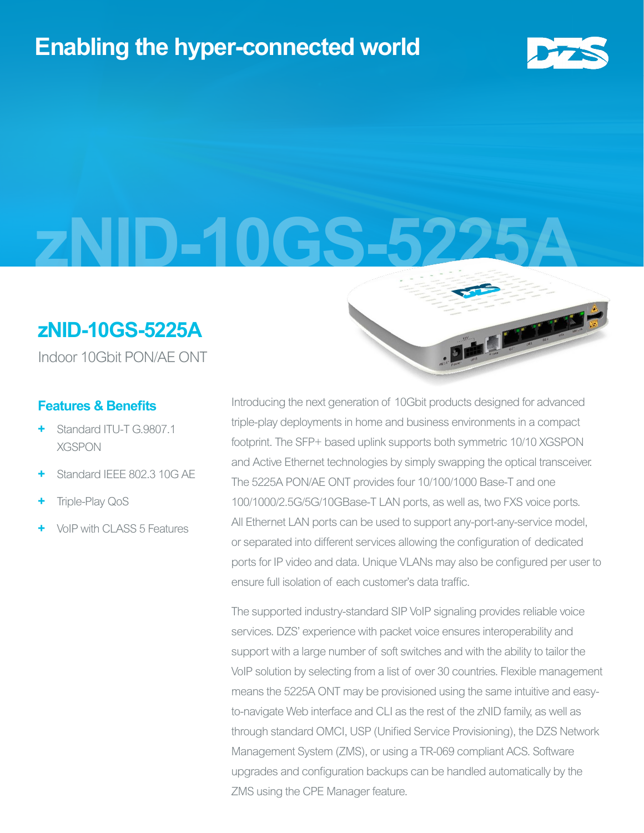## **Enabling the hyper-connected world**



**zNID-10GS-5225A**

## **zNID-10GS-5225A**

Indoor 10Gbit PON/AE ONT

#### **Features & Benefits**

- **+** Standard ITU-T G.9807.1 XGSPON
- **+** Standard IEEE 802.3 10G AE
- **+** Triple-Play QoS
- **+** VoIP with CLASS 5 Features

Introducing the next generation of 10Gbit products designed for advanced triple-play deployments in home and business environments in a compact footprint. The SFP+ based uplink supports both symmetric 10/10 XGSPON and Active Ethernet technologies by simply swapping the optical transceiver. The 5225A PON/AE ONT provides four 10/100/1000 Base-T and one 100/1000/2.5G/5G/10GBase-T LAN ports, as well as, two FXS voice ports. All Ethernet LAN ports can be used to support any-port-any-service model, or separated into different services allowing the configuration of dedicated ports for IP video and data. Unique VLANs may also be configured per user to ensure full isolation of each customer's data traffic.

The supported industry-standard SIP VoIP signaling provides reliable voice services. DZS' experience with packet voice ensures interoperability and support with a large number of soft switches and with the ability to tailor the VoIP solution by selecting from a list of over 30 countries. Flexible management means the 5225A ONT may be provisioned using the same intuitive and easyto-navigate Web interface and CLI as the rest of the zNID family, as well as through standard OMCI, USP (Unified Service Provisioning), the DZS Network Management System (ZMS), or using a TR-069 compliant ACS. Software upgrades and configuration backups can be handled automatically by the ZMS using the CPE Manager feature.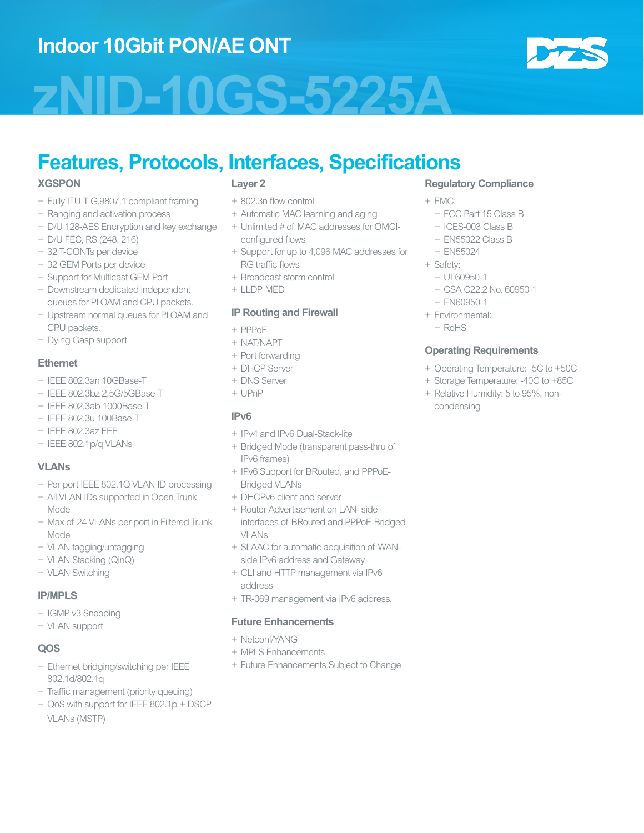## **Indoor 10Gbit PON/AE ONT**

# **zNID-10GS-5225A**

## **Features, Protocols, Interfaces, Specifications**

#### **XGSPON**

- + Fully ITU-T G.9807.1 compliant framing
- + Ranging and activation process
- + D/U 128-AES Encryption and key exchange
- + D/U FEC, RS (248, 216)
- + 32 T-CONTs per device
- + 32 GEM Ports per device
- + Support for Multicast GEM Port
- + Downstream dedicated independent queues for PLOAM and CPU packets.
- + Upstream normal queues for PLOAM and CPU packets.
- + Dying Gasp support

#### **Ethernet**

- + IEEE 802.3an 10GBase-T
- + IEEE 802.3bz 2.5G/5GBase-T
- + IEEE 802.3ab 1000Base-T
- + IEEE 802.3u 100Base-T
- + IEEE 802.3az EEE
- + IEEE 802.1p/q VLANs

#### **VLANs**

- + Per port IEEE 802.1Q VLAN ID processing
- + All VLAN IDs supported in Open Trunk Mode
- + Max of 24 VLANs per port in Filtered Trunk Mode
- + VLAN tagging/untagging
- + VLAN Stacking (QinQ)
- + VLAN Switching

#### **IP/MPLS**

- + IGMP v3 Snooping
- + VLAN support

#### **QOS**

- + Ethernet bridging/switching per IEEE 802.1d/802.1q
- + Traffic management (priority queuing)
- + QoS with support for IEEE 802.1p + DSCP VLANs (MSTP)

#### **Layer 2**

- + 802.3n flow control
- + Automatic MAC learning and aging
- + Unlimited # of MAC addresses for OMCIconfigured flows
- + Support for up to 4,096 MAC addresses for RG traffic flows
- + Broadcast storm control
- + LLDP-MED

#### **IP Routing and Firewall**

- + PPPoE
- + NAT/NAPT
- + Port forwarding
- + DHCP Server
- + DNS Server
- + UPnP

#### **IPv6**

- + IPv4 and IPv6 Dual-Stack-lite
- + Bridged Mode (transparent pass-thru of IPv6 frames)
- + IPv6 Support for BRouted, and PPPoE-Bridged VLANs
- + DHCPv6 client and server
- + Router Advertisement on LAN- side interfaces of BRouted and PPPoE-Bridged VLANs
- + SLAAC for automatic acquisition of WANside IPv6 address and Gateway
- + CLI and HTTP management via IPv6 address
- + TR-069 management via IPv6 address.

#### **Future Enhancements**

- + Netconf/YANG
- + MPLS Enhancements
- + Future Enhancements Subject to Change

#### **Regulatory Compliance**

- + EMC:
	- + FCC Part 15 Class B
	- + ICES-003 Class B
	- + EN55022 Class B
	- + EN55024

#### + Safety:

- + UL60950-1
- + CSA C22.2 No. 60950-1
- + EN60950-1
- + Environmental:
	- + RoHS

#### **Operating Requirements**

- + Operating Temperature: -5C to +50C
- + Storage Temperature: -40C to +85C
- + Relative Humidity: 5 to 95%, noncondensing